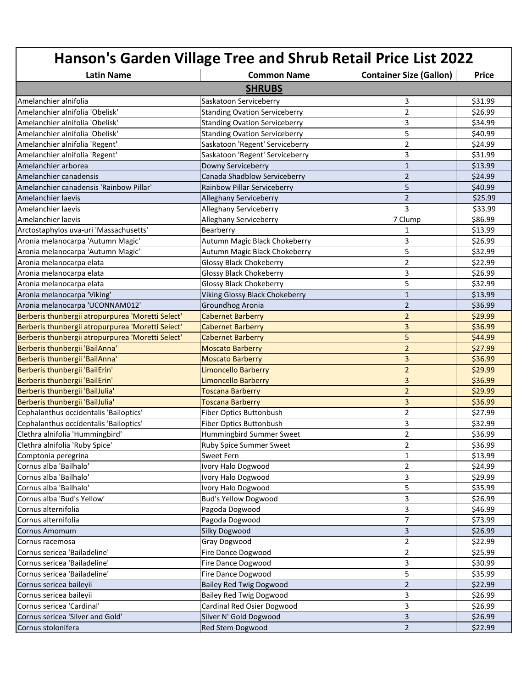| Hanson's Garden Village Tree and Shrub Retail Price List 2022 |                                      |                                |              |
|---------------------------------------------------------------|--------------------------------------|--------------------------------|--------------|
| <b>Latin Name</b>                                             | <b>Common Name</b>                   | <b>Container Size (Gallon)</b> | <b>Price</b> |
|                                                               | <b>SHRUBS</b>                        |                                |              |
| Amelanchier alnifolia                                         | Saskatoon Serviceberry               | 3                              | \$31.99      |
| Amelanchier alnifolia 'Obelisk'                               | <b>Standing Ovation Serviceberry</b> | $\overline{2}$                 | \$26.99      |
| Amelanchier alnifolia 'Obelisk'                               | <b>Standing Ovation Serviceberry</b> | 3                              | \$34.99      |
| Amelanchier alnifolia 'Obelisk'                               | <b>Standing Ovation Serviceberry</b> | 5                              | \$40.99      |
| Amelanchier alnifolia 'Regent'                                | Saskatoon 'Regent' Serviceberry      | 2                              | \$24.99      |
| Amelanchier alnifolia 'Regent'                                | Saskatoon 'Regent' Serviceberry      | 3                              | \$31.99      |
| Amelanchier arborea                                           | Downy Serviceberry                   | $\mathbf{1}$                   | \$13.99      |
| Amelanchier canadensis                                        | Canada Shadblow Serviceberry         | $\overline{2}$                 | \$24.99      |
| Amelanchier canadensis 'Rainbow Pillar'                       | Rainbow Pillar Serviceberry          | 5                              | \$40.99      |
| Amelanchier laevis                                            | <b>Alleghany Serviceberry</b>        | $\overline{2}$                 | \$25.99      |
| Amelanchier laevis                                            | Alleghany Serviceberry               | 3                              | \$33.99      |
| Amelanchier laevis                                            | Alleghany Serviceberry               | 7 Clump                        | \$86.99      |
| Arctostaphylos uva-uri 'Massachusetts'                        | Bearberry                            | 1                              | \$13.99      |
| Aronia melanocarpa 'Autumn Magic'                             | Autumn Magic Black Chokeberry        | 3                              | \$26.99      |
| Aronia melanocarpa 'Autumn Magic'                             | Autumn Magic Black Chokeberry        | 5                              | \$32.99      |
| Aronia melanocarpa elata                                      | <b>Glossy Black Chokeberry</b>       | $\overline{2}$                 | \$22.99      |
|                                                               | <b>Glossy Black Chokeberry</b>       | 3                              | \$26.99      |
| Aronia melanocarpa elata<br>Aronia melanocarpa elata          | <b>Glossy Black Chokeberry</b>       | 5                              | \$32.99      |
|                                                               |                                      | $\mathbf{1}$                   |              |
| Aronia melanocarpa 'Viking'                                   | Viking Glossy Black Chokeberry       |                                | \$13.99      |
| Aronia melanocarpa 'UCONNAM012'                               | Groundhog Aronia                     | 2                              | \$36.99      |
| Berberis thunbergii atropurpurea 'Moretti Select'             | <b>Cabernet Barberry</b>             | $\overline{2}$                 | \$29.99      |
| Berberis thunbergii atropurpurea 'Moretti Select'             | <b>Cabernet Barberry</b>             | 3                              | \$36.99      |
| Berberis thunbergii atropurpurea 'Moretti Select'             | <b>Cabernet Barberry</b>             | 5                              | \$44.99      |
| Berberis thunbergii 'BailAnna'                                | <b>Moscato Barberry</b>              | $\overline{2}$                 | \$27.99      |
| Berberis thunbergii 'BailAnna'                                | <b>Moscato Barberry</b>              | 3                              | \$36.99      |
| Berberis thunbergii 'BailErin'                                | <b>Limoncello Barberry</b>           | $\overline{2}$                 | \$29.99      |
| Berberis thunbergii 'BailErin'                                | <b>Limoncello Barberry</b>           | 3                              | \$36.99      |
| Berberis thunbergii 'BailJulia'                               | <b>Toscana Barberry</b>              | $\overline{2}$<br>3            | \$29.99      |
| Berberis thunbergii 'BailJulia'                               | <b>Toscana Barberry</b>              |                                | \$36.99      |
| Cephalanthus occidentalis 'Bailoptics'                        | Fiber Optics Buttonbush              | $\overline{2}$                 | \$27.99      |
| Cephalanthus occidentalis 'Bailoptics'                        | Fiber Optics Buttonbush              | 3                              | \$32.99      |
| Clethra alnifolia 'Hummingbird'                               | Hummingbird Summer Sweet             | $\overline{2}$                 | \$36.99      |
| Clethra alnifolia 'Ruby Spice'                                | Ruby Spice Summer Sweet              | $\overline{2}$                 | \$36.99      |
| Comptonia peregrina                                           | Sweet Fern                           | 1                              | \$13.99      |
| Cornus alba 'Bailhalo'                                        | Ivory Halo Dogwood                   | $\overline{2}$                 | \$24.99      |
| Cornus alba 'Bailhalo'                                        | Ivory Halo Dogwood                   | 3                              | \$29.99      |
| Cornus alba 'Bailhalo'                                        | Ivory Halo Dogwood                   | 5                              | \$35.99      |
| Cornus alba 'Bud's Yellow'                                    | <b>Bud's Yellow Dogwood</b>          | 3                              | \$26.99      |
| Cornus alternifolia                                           | Pagoda Dogwood                       | 3                              | \$46.99      |
| Cornus alternifolia                                           | Pagoda Dogwood                       | $\overline{7}$                 | \$73.99      |
| Cornus Amomum                                                 | Silky Dogwood                        | 3                              | \$26.99      |
| Cornus racemosa                                               | Gray Dogwood                         | $\overline{2}$                 | \$22.99      |
| Cornus sericea 'Bailadeline'                                  | Fire Dance Dogwood                   | $\overline{2}$                 | \$25.99      |
| Cornus sericea 'Bailadeline'                                  | Fire Dance Dogwood                   | 3                              | \$30.99      |
| Cornus sericea 'Bailadeline'                                  | Fire Dance Dogwood                   | 5                              | \$35.99      |
| Cornus sericea baileyii                                       | <b>Bailey Red Twig Dogwood</b>       | $\overline{2}$                 | \$22.99      |
| Cornus sericea baileyii                                       | <b>Bailey Red Twig Dogwood</b>       | 3                              | \$26.99      |
| Cornus sericea 'Cardinal'                                     | Cardinal Red Osier Dogwood           | 3                              | \$26.99      |
| Cornus sericea 'Silver and Gold'                              | Silver N' Gold Dogwood               | 3                              | \$26.99      |
| Cornus stolonifera                                            | Red Stem Dogwood                     | $\overline{2}$                 | \$22.99      |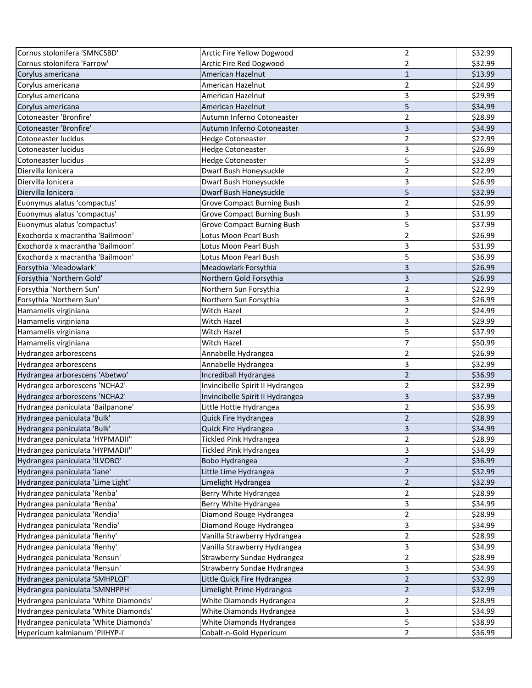| Cornus stolonifera 'SMNCSBD'          | Arctic Fire Yellow Dogwood        | 2                       | \$32.99 |
|---------------------------------------|-----------------------------------|-------------------------|---------|
| Cornus stolonifera 'Farrow'           | Arctic Fire Red Dogwood           | $\overline{2}$          | \$32.99 |
| Corylus americana                     | American Hazelnut                 | 1                       | \$13.99 |
| Corylus americana                     | American Hazelnut                 | $\overline{2}$          | \$24.99 |
| Corylus americana                     | American Hazelnut                 | 3                       | \$29.99 |
| Corylus americana                     | American Hazelnut                 | 5                       | \$34.99 |
| Cotoneaster 'Bronfire'                | Autumn Inferno Cotoneaster        | 2                       | \$28.99 |
| Cotoneaster 'Bronfire'                | Autumn Inferno Cotoneaster        | 3                       | \$34.99 |
| Cotoneaster lucidus                   | <b>Hedge Cotoneaster</b>          | 2                       | \$22.99 |
| Cotoneaster lucidus                   | <b>Hedge Cotoneaster</b>          | 3                       | \$26.99 |
| Cotoneaster lucidus                   | <b>Hedge Cotoneaster</b>          | 5                       | \$32.99 |
| Diervilla lonicera                    | Dwarf Bush Honeysuckle            | $\overline{2}$          | \$22.99 |
| Diervilla lonicera                    | Dwarf Bush Honeysuckle            | 3                       | \$26.99 |
| Diervilla lonicera                    | Dwarf Bush Honeysuckle            | 5                       | \$32.99 |
| Euonymus alatus 'compactus'           | <b>Grove Compact Burning Bush</b> | 2                       | \$26.99 |
| Euonymus alatus 'compactus'           | <b>Grove Compact Burning Bush</b> | 3                       | \$31.99 |
| Euonymus alatus 'compactus'           | <b>Grove Compact Burning Bush</b> | 5                       | \$37.99 |
| Exochorda x macrantha 'Bailmoon'      | Lotus Moon Pearl Bush             | $\overline{2}$          | \$26.99 |
| Exochorda x macrantha 'Bailmoon'      | Lotus Moon Pearl Bush             | 3                       | \$31.99 |
| Exochorda x macrantha 'Bailmoon'      | Lotus Moon Pearl Bush             | 5                       | \$36.99 |
| Forsythia 'Meadowlark'                | Meadowlark Forsythia              | 3                       | \$26.99 |
| Forsythia 'Northern Gold'             | Northern Gold Forsythia           | 3                       | \$26.99 |
| Forsythia 'Northern Sun'              | Northern Sun Forsythia            | $\overline{2}$          | \$22.99 |
| Forsythia 'Northern Sun'              | Northern Sun Forsythia            | 3                       | \$26.99 |
| Hamamelis virginiana                  | Witch Hazel                       | $\overline{2}$          | \$24.99 |
| Hamamelis virginiana                  | Witch Hazel                       | 3                       | \$29.99 |
| Hamamelis virginiana                  | Witch Hazel                       | 5                       | \$37.99 |
| Hamamelis virginiana                  | Witch Hazel                       | $\overline{7}$          | \$50.99 |
| Hydrangea arborescens                 | Annabelle Hydrangea               | $\overline{2}$          | \$26.99 |
| Hydrangea arborescens                 | Annabelle Hydrangea               | 3                       | \$32.99 |
| Hydrangea arborescens 'Abetwo'        | Incrediball Hydrangea             | $\overline{2}$          | \$36.99 |
| Hydrangea arborescens 'NCHA2'         | Invincibelle Spirit II Hydrangea  | 2                       | \$32.99 |
| Hydrangea arborescens 'NCHA2'         | Invincibelle Spirit II Hydrangea  | 3                       | \$37.99 |
| Hydrangea paniculata 'Bailpanone'     | Little Hottie Hydrangea           | $\overline{2}$          | \$36.99 |
| Hydrangea paniculata 'Bulk'           | Quick Fire Hydrangea              | $\overline{2}$          | \$28.99 |
| Hydrangea paniculata 'Bulk'           | Quick Fire Hydrangea              | 3                       | \$34.99 |
| Hydrangea paniculata 'HYPMADII"       | Tickled Pink Hydrangea            | 2                       | \$28.99 |
| Hydrangea paniculata 'HYPMADII"       | <b>Tickled Pink Hydrangea</b>     | 3                       | \$34.99 |
| Hydrangea paniculata 'ILVOBO'         | Bobo Hydrangea                    | $\overline{2}$          | \$36.99 |
| Hydrangea paniculata 'Jane'           | Little Lime Hydrangea             | $\overline{2}$          | \$32.99 |
| Hydrangea paniculata 'Lime Light'     | Limelight Hydrangea               | $\overline{2}$          | \$32.99 |
| Hydrangea paniculata 'Renba'          | Berry White Hydrangea             | 2                       | \$28.99 |
| Hydrangea paniculata 'Renba'          | Berry White Hydrangea             | 3                       | \$34.99 |
| Hydrangea paniculata 'Rendia'         | Diamond Rouge Hydrangea           | $\overline{\mathbf{c}}$ | \$28.99 |
| Hydrangea paniculata 'Rendia'         | Diamond Rouge Hydrangea           | 3                       | \$34.99 |
| Hydrangea paniculata 'Renhy'          | Vanilla Strawberry Hydrangea      | $\overline{2}$          | \$28.99 |
| Hydrangea paniculata 'Renhy'          | Vanilla Strawberry Hydrangea      | 3                       | \$34.99 |
| Hydrangea paniculata 'Rensun'         | Strawberry Sundae Hydrangea       | $\overline{2}$          | \$28.99 |
| Hydrangea paniculata 'Rensun'         | Strawberry Sundae Hydrangea       | 3                       | \$34.99 |
| Hydrangea paniculata 'SMHPLQF'        | Little Quick Fire Hydrangea       | $\overline{2}$          | \$32.99 |
| Hydrangea paniculata 'SMNHPPH'        | Limelight Prime Hydrangea         | $\mathbf 2$             | \$32.99 |
| Hydrangea paniculata 'White Diamonds' | White Diamonds Hydrangea          | $\overline{\mathbf{c}}$ | \$28.99 |
| Hydrangea paniculata 'White Diamonds' | White Diamonds Hydrangea          | 3                       | \$34.99 |
| Hydrangea paniculata 'White Diamonds' | White Diamonds Hydrangea          | 5                       | \$38.99 |
| Hypericum kalmianum 'PIIHYP-I'        | Cobalt-n-Gold Hypericum           | $\overline{2}$          | \$36.99 |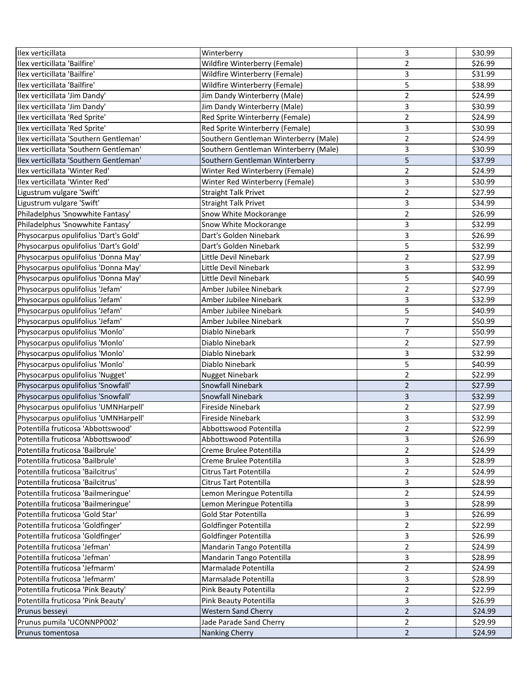| Ilex verticillata                      | Winterberry                           | 3              | \$30.99 |
|----------------------------------------|---------------------------------------|----------------|---------|
| Ilex verticillata 'Bailfire'           | Wildfire Winterberry (Female)         | $\overline{2}$ | \$26.99 |
| Ilex verticillata 'Bailfire'           | Wildfire Winterberry (Female)         | 3              | \$31.99 |
| Ilex verticillata 'Bailfire'           | Wildfire Winterberry (Female)         | 5              | \$38.99 |
| Ilex verticillata 'Jim Dandy'          | Jim Dandy Winterberry (Male)          | 2              | \$24.99 |
| Ilex verticillata 'Jim Dandy'          | Jim Dandy Winterberry (Male)          | 3              | \$30.99 |
| Ilex verticillata 'Red Sprite'         | Red Sprite Winterberry (Female)       | 2              | \$24.99 |
| Ilex verticillata 'Red Sprite'         | Red Sprite Winterberry (Female)       | 3              | \$30.99 |
| Ilex verticillata 'Southern Gentleman' | Southern Gentleman Winterberry (Male) | 2              | \$24.99 |
| Ilex verticillata 'Southern Gentleman' | Southern Gentleman Winterberry (Male) | 3              | \$30.99 |
| Ilex verticillata 'Southern Gentleman' | Southern Gentleman Winterberry        | 5              | \$37.99 |
| Ilex verticillata 'Winter Red'         | Winter Red Winterberry (Female)       | $\overline{2}$ | \$24.99 |
| Ilex verticillata 'Winter Red'         | Winter Red Winterberry (Female)       | 3              | \$30.99 |
| Ligustrum vulgare 'Swift'              | <b>Straight Talk Privet</b>           | $\overline{2}$ | \$27.99 |
| Ligustrum vulgare 'Swift'              | <b>Straight Talk Privet</b>           | 3              | \$34.99 |
| Philadelphus 'Snowwhite Fantasy'       | Snow White Mockorange                 | $\overline{2}$ | \$26.99 |
| Philadelphus 'Snowwhite Fantasy'       | Snow White Mockorange                 | 3              | \$32.99 |
| Physocarpus opulifolius 'Dart's Gold'  | Dart's Golden Ninebark                | 3              | \$26.99 |
| Physocarpus opulifolius 'Dart's Gold'  | Dart's Golden Ninebark                | 5              | \$32.99 |
| Physocarpus opulifolius 'Donna May'    | Little Devil Ninebark                 | $\overline{2}$ | \$27.99 |
| Physocarpus opulifolius 'Donna May'    | Little Devil Ninebark                 | 3              | \$32.99 |
| Physocarpus opulifolius 'Donna May'    | Little Devil Ninebark                 | 5              | \$40.99 |
| Physocarpus opulifolius 'Jefam'        | Amber Jubilee Ninebark                | 2              | \$27.99 |
| Physocarpus opulifolius 'Jefam'        | Amber Jubilee Ninebark                | 3              | \$32.99 |
| Physocarpus opulifolius 'Jefam'        | Amber Jubilee Ninebark                | 5              | \$40.99 |
| Physocarpus opulifolius 'Jefam'        | Amber Jubilee Ninebark                | $\overline{7}$ | \$50.99 |
| Physocarpus opulifolius 'Monlo'        | Diablo Ninebark                       | 7              | \$50.99 |
| Physocarpus opulifolius 'Monlo'        | Diablo Ninebark                       | $\overline{2}$ | \$27.99 |
| Physocarpus opulifolius 'Monlo'        | Diablo Ninebark                       | 3              | \$32.99 |
| Physocarpus opulifolius 'Monlo'        | Diablo Ninebark                       | 5              | \$40.99 |
| Physocarpus opulifolius 'Nugget'       | <b>Nugget Ninebark</b>                | $\overline{2}$ | \$22.99 |
| Physocarpus opulifolius 'Snowfall'     | Snowfall Ninebark                     | $\overline{2}$ | \$27.99 |
| Physocarpus opulifolius 'Snowfall'     | Snowfall Ninebark                     | 3              | \$32.99 |
| Physocarpus opulifolius 'UMNHarpell'   | <b>Fireside Ninebark</b>              | $\overline{2}$ | \$27.99 |
| Physocarpus opulifolius 'UMNHarpell'   | Fireside Ninebark                     | 3              | \$32.99 |
| Potentilla fruticosa 'Abbottswood'     | Abbottswood Potentilla                | $\overline{2}$ | \$22.99 |
| Potentilla fruticosa 'Abbottswood'     | Abbottswood Potentilla                | 3              | \$26.99 |
| Potentilla fruticosa 'Bailbrule'       | Creme Brulee Potentilla               | 2              | \$24.99 |
| Potentilla fruticosa 'Bailbrule'       | Creme Brulee Potentilla               | 3              | \$28.99 |
| Potentilla fruticosa 'Bailcitrus'      | Citrus Tart Potentilla                | 2              | \$24.99 |
| Potentilla fruticosa 'Bailcitrus'      | Citrus Tart Potentilla                | 3              | \$28.99 |
| Potentilla fruticosa 'Bailmeringue'    | Lemon Meringue Potentilla             | $\overline{2}$ | \$24.99 |
| Potentilla fruticosa 'Bailmeringue'    | Lemon Meringue Potentilla             | 3              | \$28.99 |
| Potentilla fruticosa 'Gold Star'       | Gold Star Potentilla                  | 3              | \$26.99 |
| Potentilla fruticosa 'Goldfinger'      | Goldfinger Potentilla                 | $\overline{2}$ | \$22.99 |
| Potentilla fruticosa 'Goldfinger'      | Goldfinger Potentilla                 | 3              | \$26.99 |
| Potentilla fruticosa 'Jefman'          | Mandarin Tango Potentilla             | $\overline{2}$ | \$24.99 |
| Potentilla fruticosa 'Jefman'          | Mandarin Tango Potentilla             | 3              | \$28.99 |
| Potentilla fruticosa 'Jefmarm'         | Marmalade Potentilla                  | $\overline{2}$ | \$24.99 |
| Potentilla fruticosa 'Jefmarm'         | Marmalade Potentilla                  | 3              | \$28.99 |
| Potentilla fruticosa 'Pink Beauty'     | Pink Beauty Potentilla                | $\overline{2}$ | \$22.99 |
| Potentilla fruticosa 'Pink Beauty'     | Pink Beauty Potentilla                | 3              | \$26.99 |
| Prunus besseyi                         | <b>Western Sand Cherry</b>            | $\overline{2}$ | \$24.99 |
| Prunus pumila 'UCONNPP002'             | Jade Parade Sand Cherry               | $\overline{2}$ | \$29.99 |
| Prunus tomentosa                       | Nanking Cherry                        | $\overline{2}$ | \$24.99 |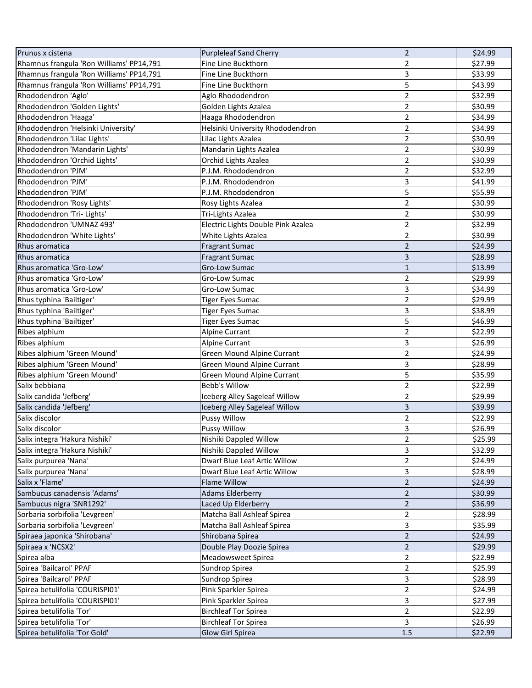| Prunus x cistena                         | <b>Purpleleaf Sand Cherry</b>        | $\overline{2}$ | \$24.99 |
|------------------------------------------|--------------------------------------|----------------|---------|
| Rhamnus frangula 'Ron Williams' PP14,791 | Fine Line Buckthorn                  | 2              | \$27.99 |
| Rhamnus frangula 'Ron Williams' PP14,791 | Fine Line Buckthorn                  | 3              | \$33.99 |
| Rhamnus frangula 'Ron Williams' PP14,791 | Fine Line Buckthorn                  | 5              | \$43.99 |
| Rhododendron 'Aglo'                      | Aglo Rhododendron                    | 2              | \$32.99 |
| Rhododendron 'Golden Lights'             | Golden Lights Azalea                 | 2              | \$30.99 |
| Rhododendron 'Haaga'                     | Haaga Rhododendron                   | 2              | \$34.99 |
| Rhododendron 'Helsinki University'       | Helsinki University Rhododendron     | 2              | \$34.99 |
| Rhododendron 'Lilac Lights'              | Lilac Lights Azalea                  | 2              | \$30.99 |
| Rhododendron 'Mandarin Lights'           | Mandarin Lights Azalea               | $\overline{2}$ | \$30.99 |
| Rhododendron 'Orchid Lights'             | Orchid Lights Azalea                 | 2              | \$30.99 |
| Rhododendron 'PJM'                       | P.J.M. Rhododendron                  | $\overline{2}$ | \$32.99 |
| Rhododendron 'PJM'                       | P.J.M. Rhododendron                  | 3              | \$41.99 |
| Rhododendron 'PJM'                       | P.J.M. Rhododendron                  | 5              | \$55.99 |
| Rhododendron 'Rosy Lights'               | Rosy Lights Azalea                   | $\overline{2}$ | \$30.99 |
| Rhododendron 'Tri- Lights'               | Tri-Lights Azalea                    | $\overline{2}$ | \$30.99 |
| Rhododendron 'UMNAZ 493'                 | Electric Lights Double Pink Azalea   | 2              | \$32.99 |
| Rhododendron 'White Lights'              | White Lights Azalea                  | $\overline{2}$ | \$30.99 |
| Rhus aromatica                           | <b>Fragrant Sumac</b>                | $\overline{2}$ | \$24.99 |
| Rhus aromatica                           | <b>Fragrant Sumac</b>                | 3              | \$28.99 |
| Rhus aromatica 'Gro-Low'                 | Gro-Low Sumac                        | $\mathbf{1}$   | \$13.99 |
| Rhus aromatica 'Gro-Low'                 | Gro-Low Sumac                        | 2              | \$29.99 |
| Rhus aromatica 'Gro-Low'                 | Gro-Low Sumac                        | 3              | \$34.99 |
| Rhus typhina 'Bailtiger'                 | <b>Tiger Eyes Sumac</b>              | 2              | \$29.99 |
| Rhus typhina 'Bailtiger'                 | <b>Tiger Eyes Sumac</b>              | 3              | \$38.99 |
| Rhus typhina 'Bailtiger'                 | <b>Tiger Eyes Sumac</b>              | 5              | \$46.99 |
| Ribes alphium                            | Alpine Currant                       | $\overline{2}$ | \$22.99 |
| Ribes alphium                            | Alpine Currant                       | 3              | \$26.99 |
| Ribes alphium 'Green Mound'              | Green Mound Alpine Currant           | $\overline{2}$ | \$24.99 |
| Ribes alphium 'Green Mound'              | Green Mound Alpine Currant           | 3              | \$28.99 |
| Ribes alphium 'Green Mound'              | <b>Green Mound Alpine Currant</b>    | 5              | \$35.99 |
| Salix bebbiana                           | <b>Bebb's Willow</b>                 | $\overline{2}$ | \$22.99 |
| Salix candida 'Jefberg'                  | <b>Iceberg Alley Sageleaf Willow</b> | $\overline{2}$ | \$29.99 |
| Salix candida 'Jefberg'                  | Iceberg Alley Sageleaf Willow        | 3              | \$39.99 |
| Salix discolor                           | Pussy Willow                         | $\overline{2}$ | \$22.99 |
| Salix discolor                           | <b>Pussy Willow</b>                  | 3              | \$26.99 |
| Salix integra 'Hakura Nishiki'           | Nishiki Dappled Willow               | 2              | \$25.99 |
| Salix integra 'Hakura Nishiki'           | Nishiki Dappled Willow               | 3              | \$32.99 |
| Salix purpurea 'Nana'                    | Dwarf Blue Leaf Artic Willow         | $\overline{2}$ | \$24.99 |
| Salix purpurea 'Nana'                    | Dwarf Blue Leaf Artic Willow         | 3              | \$28.99 |
| Salix x 'Flame'                          | Flame Willow                         | $\overline{2}$ | \$24.99 |
| Sambucus canadensis 'Adams'              | <b>Adams Elderberry</b>              | $\overline{2}$ | \$30.99 |
| Sambucus nigra 'SNR1292'                 | Laced Up Elderberry                  | $\overline{2}$ | \$36.99 |
| Sorbaria sorbifolia 'Levgreen'           | Matcha Ball Ashleaf Spirea           | 2              | \$28.99 |
| Sorbaria sorbifolia 'Levgreen'           | Matcha Ball Ashleaf Spirea           | 3              | \$35.99 |
| Spiraea japonica 'Shirobana'             | Shirobana Spirea                     | $\overline{2}$ | \$24.99 |
| Spiraea x 'NCSX2'                        | Double Play Doozie Spirea            | $\overline{2}$ | \$29.99 |
| Spirea alba                              | Meadowsweet Spirea                   | 2              | \$22.99 |
| Spirea 'Bailcarol' PPAF                  | Sundrop Spirea                       | 2              | \$25.99 |
| Spirea 'Bailcarol' PPAF                  | Sundrop Spirea                       | 3              | \$28.99 |
| Spirea betulifolia 'COURISPI01'          | Pink Sparkler Spirea                 | $\overline{2}$ | \$24.99 |
| Spirea betulifolia 'COURISPI01'          | Pink Sparkler Spirea                 | 3              | \$27.99 |
| Spirea betulifolia 'Tor'                 | <b>Birchleaf Tor Spirea</b>          | 2              | \$22.99 |
| Spirea betulifolia 'Tor'                 | <b>Birchleaf Tor Spirea</b>          | 3              | \$26.99 |
| Spirea betulifolia 'Tor Gold'            | <b>Glow Girl Spirea</b>              | 1.5            | \$22.99 |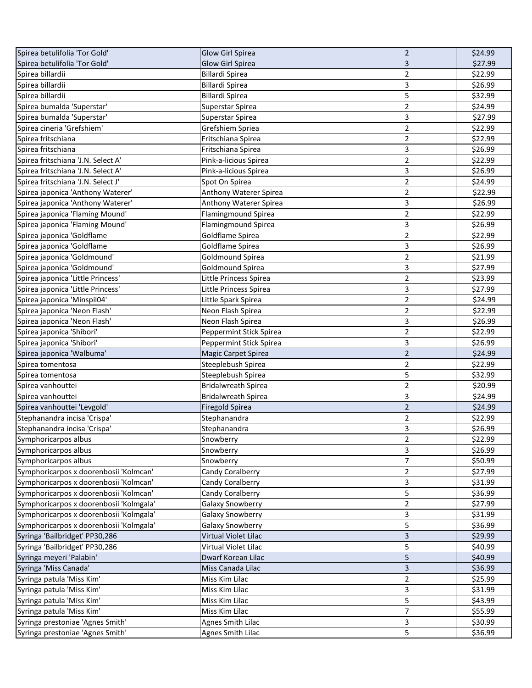| Spirea betulifolia 'Tor Gold'           | <b>Glow Girl Spirea</b>             | $\overline{2}$ | \$24.99            |
|-----------------------------------------|-------------------------------------|----------------|--------------------|
| Spirea betulifolia 'Tor Gold'           | <b>Glow Girl Spirea</b>             | 3              | \$27.99            |
| Spirea billardii                        | Billardi Spirea                     | 2              | \$22.99            |
| Spirea billardii                        | Billardi Spirea                     | 3              | \$26.99            |
| Spirea billardii                        | Billardi Spirea                     | 5              | \$32.99            |
| Spirea bumalda 'Superstar'              | Superstar Spirea                    | 2              | \$24.99            |
| Spirea bumalda 'Superstar'              | Superstar Spirea                    | 3              | \$27.99            |
| Spirea cineria 'Grefshiem'              | Grefshiem Spriea                    | 2              | \$22.99            |
| Spirea fritschiana                      | Fritschiana Spirea                  | 2              | \$22.99            |
| Spirea fritschiana                      | Fritschiana Spirea                  | 3              | \$26.99            |
| Spirea fritschiana 'J.N. Select A'      | Pink-a-licious Spirea               | 2              | \$22.99            |
| Spirea fritschiana 'J.N. Select A'      | Pink-a-licious Spirea               | 3              | \$26.99            |
| Spirea fritschiana 'J.N. Select J'      | Spot On Spirea                      | $\overline{2}$ | \$24.99            |
| Spirea japonica 'Anthony Waterer'       | Anthony Waterer Spirea              | 2              | \$22.99            |
| Spirea japonica 'Anthony Waterer'       | Anthony Waterer Spirea              | 3              | \$26.99            |
| Spirea japonica 'Flaming Mound'         | <b>Flamingmound Spirea</b>          | 2              | \$22.99            |
| Spirea japonica 'Flaming Mound'         | <b>Flamingmound Spirea</b>          | 3              | \$26.99            |
| Spirea japonica 'Goldflame              | Goldflame Spirea                    | 2              | \$22.99            |
| Spirea japonica 'Goldflame              | Goldflame Spirea                    | 3              | \$26.99            |
| Spirea japonica 'Goldmound'             | Goldmound Spirea                    | $\mathbf 2$    | \$21.99            |
| Spirea japonica 'Goldmound'             | Goldmound Spirea                    | 3              | \$27.99            |
| Spirea japonica 'Little Princess'       | Little Princess Spirea              | 2              | \$23.99            |
| Spirea japonica 'Little Princess'       | Little Princess Spirea              | 3              | \$27.99            |
| Spirea japonica 'Minspil04'             | Little Spark Spirea                 | $\overline{2}$ | \$24.99            |
| Spirea japonica 'Neon Flash'            | Neon Flash Spirea                   | 2              | \$22.99            |
| Spirea japonica 'Neon Flash'            | Neon Flash Spirea                   | 3              | \$26.99            |
| Spirea japonica 'Shibori'               | Peppermint Stick Spirea             | 2              | \$22.99            |
| Spirea japonica 'Shibori'               | Peppermint Stick Spirea             | 3              | \$26.99            |
| Spirea japonica 'Walbuma'               | <b>Magic Carpet Spirea</b>          | $\overline{2}$ | \$24.99            |
| Spirea tomentosa                        | Steeplebush Spirea                  | 2              | \$22.99            |
| Spirea tomentosa                        | Steeplebush Spirea                  | 5              | \$32.99            |
| Spirea vanhouttei                       | <b>Bridalwreath Spirea</b>          | $\overline{2}$ | \$20.99            |
| Spirea vanhouttei                       | <b>Bridalwreath Spirea</b>          | 3              | \$24.99            |
| Spirea vanhouttei 'Levgold'             | <b>Firegold Spirea</b>              | $\overline{2}$ | \$24.99            |
| Stephanandra incisa 'Crispa'            | Stephanandra                        | 2              | \$22.99            |
| Stephanandra incisa 'Crispa'            | Stephanandra                        | 3              | \$26.99            |
| Symphoricarpos albus                    | Snowberry                           | 2              | \$22.99            |
| Symphoricarpos albus                    | Snowberry                           | 3              | \$26.99            |
| Symphoricarpos albus                    | Snowberry                           | 7              | \$50.99            |
| Symphoricarpos x doorenbosii 'Kolmcan'  | Candy Coralberry                    | 2              | \$27.99            |
| Symphoricarpos x doorenbosii 'Kolmcan'  | Candy Coralberry                    | 3              | \$31.99            |
| Symphoricarpos x doorenbosii 'Kolmcan'  | Candy Coralberry                    | 5              | \$36.99            |
| Symphoricarpos x doorenbosii 'Kolmgala' | <b>Galaxy Snowberry</b>             | 2              | \$27.99            |
| Symphoricarpos x doorenbosii 'Kolmgala' | <b>Galaxy Snowberry</b>             | 3              | \$31.99            |
| Symphoricarpos x doorenbosii 'Kolmgala' | Galaxy Snowberry                    | 5              | \$36.99            |
| Syringa 'Bailbridget' PP30,286          | Virtual Violet Lilac                | 3              | \$29.99            |
| Syringa 'Bailbridget' PP30,286          | Virtual Violet Lilac                | 5              | \$40.99            |
| Syringa meyeri 'Palabin'                | Dwarf Korean Lilac                  | 5              | \$40.99            |
| Syringa 'Miss Canada'                   |                                     |                |                    |
| Syringa patula 'Miss Kim'               | Miss Canada Lilac<br>Miss Kim Lilac | 3<br>2         | \$36.99<br>\$25.99 |
| Syringa patula 'Miss Kim'               |                                     |                |                    |
|                                         | Miss Kim Lilac                      | 3<br>5         | \$31.99            |
| Syringa patula 'Miss Kim'               | Miss Kim Lilac                      | 7              | \$43.99            |
| Syringa patula 'Miss Kim'               | Miss Kim Lilac                      |                | \$55.99<br>\$30.99 |
| Syringa prestoniae 'Agnes Smith'        | <b>Agnes Smith Lilac</b>            | 3<br>5         |                    |
| Syringa prestoniae 'Agnes Smith'        | <b>Agnes Smith Lilac</b>            |                | \$36.99            |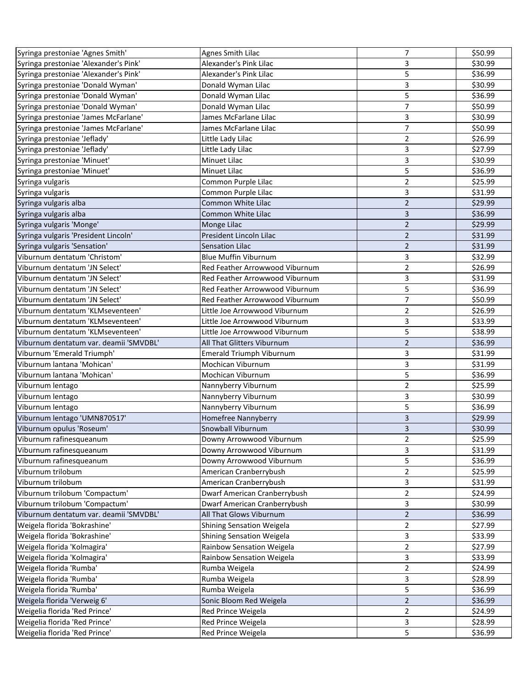| Syringa prestoniae 'Agnes Smith'       | <b>Agnes Smith Lilac</b>        | 7                       | \$50.99 |
|----------------------------------------|---------------------------------|-------------------------|---------|
| Syringa prestoniae 'Alexander's Pink'  | Alexander's Pink Lilac          | 3                       | \$30.99 |
| Syringa prestoniae 'Alexander's Pink'  | Alexander's Pink Lilac          | 5                       | \$36.99 |
| Syringa prestoniae 'Donald Wyman'      | Donald Wyman Lilac              | 3                       | \$30.99 |
| Syringa prestoniae 'Donald Wyman'      | Donald Wyman Lilac              | 5                       | \$36.99 |
| Syringa prestoniae 'Donald Wyman'      | Donald Wyman Lilac              | 7                       | \$50.99 |
| Syringa prestoniae 'James McFarlane'   | James McFarlane Lilac           | 3                       | \$30.99 |
| Syringa prestoniae 'James McFarlane'   | James McFarlane Lilac           | 7                       | \$50.99 |
| Syringa prestoniae 'Jeflady'           | Little Lady Lilac               | 2                       | \$26.99 |
| Syringa prestoniae 'Jeflady'           | Little Lady Lilac               | 3                       | \$27.99 |
| Syringa prestoniae 'Minuet'            | Minuet Lilac                    | 3                       | \$30.99 |
| Syringa prestoniae 'Minuet'            | Minuet Lilac                    | 5                       | \$36.99 |
| Syringa vulgaris                       | Common Purple Lilac             | 2                       | \$25.99 |
| Syringa vulgaris                       | Common Purple Lilac             | 3                       | \$31.99 |
| Syringa vulgaris alba                  | Common White Lilac              | $\overline{2}$          | \$29.99 |
| Syringa vulgaris alba                  | Common White Lilac              | 3                       | \$36.99 |
| Syringa vulgaris 'Monge'               | Monge Lilac                     | $\overline{2}$          | \$29.99 |
| Syringa vulgaris 'President Lincoln'   | President Lincoln Lilac         | $\overline{2}$          | \$31.99 |
| Syringa vulgaris 'Sensation'           | <b>Sensation Lilac</b>          | $\mathbf 2$             | \$31.99 |
| Viburnum dentatum 'Christom'           | <b>Blue Muffin Viburnum</b>     | 3                       | \$32.99 |
| Viburnum dentatum 'JN Select'          | Red Feather Arrowwood Viburnum  | 2                       | \$26.99 |
| Viburnum dentatum 'JN Select'          | Red Feather Arrowwood Viburnum  | 3                       | \$31.99 |
| Viburnum dentatum 'JN Select'          | Red Feather Arrowwood Viburnum  | 5                       | \$36.99 |
| Viburnum dentatum 'JN Select'          | Red Feather Arrowwood Viburnum  | 7                       | \$50.99 |
| Viburnum dentatum 'KLMseventeen'       | Little Joe Arrowwood Viburnum   | 2                       | \$26.99 |
| Viburnum dentatum 'KLMseventeen'       | Little Joe Arrowwood Viburnum   | 3                       | \$33.99 |
| Viburnum dentatum 'KLMseventeen'       | Little Joe Arrowwood Viburnum   | 5                       | \$38.99 |
| Viburnum dentatum var. deamii 'SMVDBL' | All That Glitters Viburnum      | $\overline{2}$          | \$36.99 |
| Viburnum 'Emerald Triumph'             | <b>Emerald Triumph Viburnum</b> | 3                       | \$31.99 |
| Viburnum lantana 'Mohican'             | Mochican Viburnum               | 3                       | \$31.99 |
| Viburnum lantana 'Mohican'             | Mochican Viburnum               | 5                       | \$36.99 |
| Viburnum lentago                       | Nannyberry Viburnum             | $\overline{2}$          | \$25.99 |
| Viburnum lentago                       | Nannyberry Viburnum             | 3                       | \$30.99 |
| Viburnum lentago                       | Nannyberry Viburnum             | 5                       | \$36.99 |
| Viburnum lentago 'UMN870517'           | Homefree Nannyberry             | 3                       | \$29.99 |
| Viburnum opulus 'Roseum'               | Snowball Viburnum               | 3                       | \$30.99 |
| Viburnum rafinesqueanum                | Downy Arrowwood Viburnum        | 2                       | \$25.99 |
| Viburnum rafinesqueanum                | Downy Arrowwood Viburnum        | 3                       | \$31.99 |
| Viburnum rafinesqueanum                | Downy Arrowwood Viburnum        | 5                       | \$36.99 |
| Viburnum trilobum                      | American Cranberrybush          | 2                       | \$25.99 |
| Viburnum trilobum                      | American Cranberrybush          | 3                       | \$31.99 |
| Viburnum trilobum 'Compactum'          | Dwarf American Cranberrybush    | 2                       | \$24.99 |
| Viburnum trilobum 'Compactum'          | Dwarf American Cranberrybush    | 3                       | \$30.99 |
| Viburnum dentatum var. deamii 'SMVDBL' | All That Glows Viburnum         | $\overline{2}$          | \$36.99 |
| Weigela florida 'Bokrashine'           | Shining Sensation Weigela       | $\overline{a}$          | \$27.99 |
| Weigela florida 'Bokrashine'           | Shining Sensation Weigela       | 3                       | \$33.99 |
| Weigela florida 'Kolmagira'            | Rainbow Sensation Weigela       | $\overline{2}$          | \$27.99 |
| Weigela florida 'Kolmagira'            | Rainbow Sensation Weigela       | 3                       | \$33.99 |
| Weigela florida 'Rumba'                | Rumba Weigela                   | $\overline{\mathbf{c}}$ | \$24.99 |
| Weigela florida 'Rumba'                | Rumba Weigela                   | 3                       | \$28.99 |
| Weigela florida 'Rumba'                | Rumba Weigela                   | 5                       | \$36.99 |
| Weigela florida 'Verweig 6'            | Sonic Bloom Red Weigela         | $\overline{2}$          | \$36.99 |
| Weigelia florida 'Red Prince'          | Red Prince Weigela              | 2                       | \$24.99 |
| Weigelia florida 'Red Prince'          | Red Prince Weigela              | 3                       | \$28.99 |
| Weigelia florida 'Red Prince'          | Red Prince Weigela              | 5                       | \$36.99 |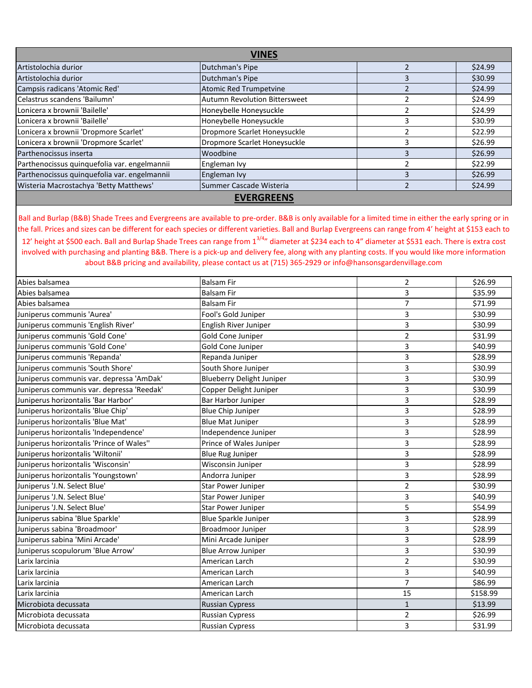| VINES                                        |                                      |  |         |
|----------------------------------------------|--------------------------------------|--|---------|
| Artistolochia durior                         | Dutchman's Pipe                      |  | \$24.99 |
| Artistolochia durior                         | Dutchman's Pipe                      |  | \$30.99 |
| Campsis radicans 'Atomic Red'                | Atomic Red Trumpetvine               |  | \$24.99 |
| Celastrus scandens 'Bailumn'                 | <b>Autumn Revolution Bittersweet</b> |  | \$24.99 |
| Lonicera x brownii 'Bailelle'                | Honeybelle Honeysuckle               |  | \$24.99 |
| Lonicera x brownii 'Bailelle'                | Honeybelle Honeysuckle               |  | \$30.99 |
| Lonicera x brownii 'Dropmore Scarlet'        | Dropmore Scarlet Honeysuckle         |  | \$22.99 |
| Lonicera x brownii 'Dropmore Scarlet'        | Dropmore Scarlet Honeysuckle         |  | \$26.99 |
| Parthenocissus inserta                       | Woodbine                             |  | \$26.99 |
| Parthenocissus quinquefolia var. engelmannii | Engleman Ivy                         |  | \$22.99 |
| Parthenocissus quinquefolia var. engelmannii | Engleman Ivy                         |  | \$26.99 |
| Wisteria Macrostachya 'Betty Matthews'       | Summer Cascade Wisteria              |  | \$24.99 |
|                                              | <b>EVERGREENS</b>                    |  |         |

Ball and Burlap (B&B) Shade Trees and Evergreens are available to pre-order. B&B is only available for a limited time in either the early spring or in the fall. Prices and sizes can be different for each species or different varieties. Ball and Burlap Evergreens can range from 4' height at \$153 each to 12' height at \$500 each. Ball and Burlap Shade Trees can range from 1<sup>3/4</sup>" diameter at \$234 each to 4" diameter at \$531 each. There is extra cost involved with purchasing and planting B&B. There is a pick-up and delivery fee, along with any planting costs. If you would like more information about B&B pricing and availability, please contact us at (715) 365-2929 or info@hansonsgardenvillage.com

| Abies balsamea                            | <b>Balsam Fir</b>                | $\overline{2}$ | \$26.99  |
|-------------------------------------------|----------------------------------|----------------|----------|
| Abies balsamea                            | <b>Balsam Fir</b>                | 3              | \$35.99  |
| Abies balsamea                            | <b>Balsam Fir</b>                | 7              | \$71.99  |
| Juniperus communis 'Aurea'                | Fool's Gold Juniper              | 3              | \$30.99  |
| Juniperus communis 'English River'        | English River Juniper            | 3              | \$30.99  |
| Juniperus communis 'Gold Cone'            | Gold Cone Juniper                | $\overline{2}$ | \$31.99  |
| Juniperus communis 'Gold Cone'            | Gold Cone Juniper                | 3              | \$40.99  |
| Juniperus communis 'Repanda'              | Repanda Juniper                  | 3              | \$28.99  |
| Juniperus communis 'South Shore'          | South Shore Juniper              | 3              | \$30.99  |
| Juniperus communis var. depressa 'AmDak'  | <b>Blueberry Delight Juniper</b> | 3              | \$30.99  |
| Juniperus communis var. depressa 'Reedak' | Copper Delight Juniper           | 3              | \$30.99  |
| Juniperus horizontalis 'Bar Harbor'       | Bar Harbor Juniper               | 3              | \$28.99  |
| Juniperus horizontalis 'Blue Chip'        | <b>Blue Chip Juniper</b>         | $\overline{3}$ | \$28.99  |
| Juniperus horizontalis 'Blue Mat'         | <b>Blue Mat Juniper</b>          | 3              | \$28.99  |
| Juniperus horizontalis 'Independence'     | Independence Juniper             | 3              | \$28.99  |
| Juniperus horizontalis 'Prince of Wales"  | Prince of Wales Juniper          | 3              | \$28.99  |
| Juniperus horizontalis 'Wiltonii'         | <b>Blue Rug Juniper</b>          | 3              | \$28.99  |
| Juniperus horizontalis 'Wisconsin'        | Wisconsin Juniper                | 3              | \$28.99  |
| Juniperus horizontalis 'Youngstown'       | Andorra Juniper                  | 3              | \$28.99  |
| Juniperus 'J.N. Select Blue'              | <b>Star Power Juniper</b>        | $\overline{2}$ | \$30.99  |
| Juniperus 'J.N. Select Blue'              | <b>Star Power Juniper</b>        | 3              | \$40.99  |
| Juniperus 'J.N. Select Blue'              | <b>Star Power Juniper</b>        | 5              | \$54.99  |
| Juniperus sabina 'Blue Sparkle'           | <b>Blue Sparkle Juniper</b>      | 3              | \$28.99  |
| Juniperus sabina 'Broadmoor'              | <b>Broadmoor Juniper</b>         | 3              | \$28.99  |
| Juniperus sabina 'Mini Arcade'            | Mini Arcade Juniper              | 3              | \$28.99  |
| Juniperus scopulorum 'Blue Arrow'         | <b>Blue Arrow Juniper</b>        | 3              | \$30.99  |
| Larix larcinia                            | American Larch                   | $\overline{2}$ | \$30.99  |
| Larix larcinia                            | American Larch                   | 3              | \$40.99  |
| Larix larcinia                            | American Larch                   | $\overline{7}$ | \$86.99  |
| Larix larcinia                            | American Larch                   | 15             | \$158.99 |
| Microbiota decussata                      | <b>Russian Cypress</b>           | $\mathbf{1}$   | \$13.99  |
| Microbiota decussata                      | <b>Russian Cypress</b>           | 2              | \$26.99  |
| Microbiota decussata                      | <b>Russian Cypress</b>           | 3              | \$31.99  |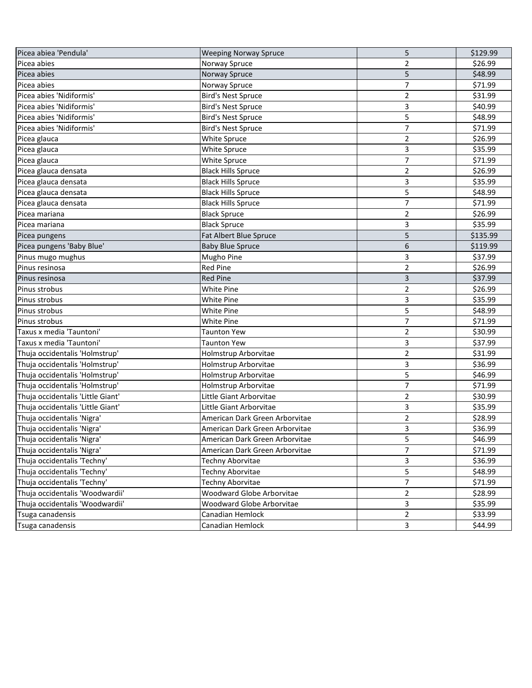| Picea abiea 'Pendula'             | <b>Weeping Norway Spruce</b>   | 5              | \$129.99 |
|-----------------------------------|--------------------------------|----------------|----------|
| Picea abies                       | Norway Spruce                  | 2              | \$26.99  |
| Picea abies                       | Norway Spruce                  | 5              | \$48.99  |
| Picea abies                       | Norway Spruce                  | $\overline{7}$ | \$71.99  |
| Picea abies 'Nidiformis'          | <b>Bird's Nest Spruce</b>      | $\overline{2}$ | \$31.99  |
| Picea abies 'Nidiformis'          | <b>Bird's Nest Spruce</b>      | 3              | \$40.99  |
| Picea abies 'Nidiformis'          | <b>Bird's Nest Spruce</b>      | 5              | \$48.99  |
| Picea abies 'Nidiformis'          | <b>Bird's Nest Spruce</b>      | 7              | \$71.99  |
| Picea glauca                      | White Spruce                   | $\overline{2}$ | \$26.99  |
| Picea glauca                      | White Spruce                   | 3              | \$35.99  |
| Picea glauca                      | White Spruce                   | 7              | \$71.99  |
| Picea glauca densata              | <b>Black Hills Spruce</b>      | $\overline{2}$ | \$26.99  |
| Picea glauca densata              | <b>Black Hills Spruce</b>      | 3              | \$35.99  |
| Picea glauca densata              | <b>Black Hills Spruce</b>      | 5              | \$48.99  |
| Picea glauca densata              | <b>Black Hills Spruce</b>      | $\overline{7}$ | \$71.99  |
| Picea mariana                     | <b>Black Spruce</b>            | $\overline{2}$ | \$26.99  |
| Picea mariana                     | <b>Black Spruce</b>            | 3              | \$35.99  |
| Picea pungens                     | <b>Fat Albert Blue Spruce</b>  | 5              | \$135.99 |
| Picea pungens 'Baby Blue'         | <b>Baby Blue Spruce</b>        | 6              | \$119.99 |
| Pinus mugo mughus                 | <b>Mugho Pine</b>              | 3              | \$37.99  |
| Pinus resinosa                    | Red Pine                       | $\overline{2}$ | \$26.99  |
| Pinus resinosa                    | <b>Red Pine</b>                | 3              | \$37.99  |
| Pinus strobus                     | <b>White Pine</b>              | $\overline{2}$ | \$26.99  |
| Pinus strobus                     | White Pine                     | 3              | \$35.99  |
| Pinus strobus                     | White Pine                     | 5              | \$48.99  |
| Pinus strobus                     | White Pine                     | $\overline{7}$ | \$71.99  |
| Taxus x media 'Tauntoni'          | <b>Taunton Yew</b>             | 2              | \$30.99  |
| Taxus x media 'Tauntoni'          | Taunton Yew                    | 3              | \$37.99  |
| Thuja occidentalis 'Holmstrup'    | Holmstrup Arborvitae           | $\overline{2}$ | \$31.99  |
| Thuja occidentalis 'Holmstrup'    | Holmstrup Arborvitae           | 3              | \$36.99  |
| Thuja occidentalis 'Holmstrup'    | Holmstrup Arborvitae           | 5              | \$46.99  |
| Thuja occidentalis 'Holmstrup'    | Holmstrup Arborvitae           | $\overline{7}$ | \$71.99  |
| Thuja occidentalis 'Little Giant' | Little Giant Arborvitae        | $\overline{2}$ | \$30.99  |
| Thuja occidentalis 'Little Giant' | Little Giant Arborvitae        | 3              | \$35.99  |
| Thuja occidentalis 'Nigra'        | American Dark Green Arborvitae | $\overline{2}$ | \$28.99  |
| Thuja occidentalis 'Nigra'        | American Dark Green Arborvitae | 3              | \$36.99  |
| Thuja occidentalis 'Nigra'        | American Dark Green Arborvitae | 5              | \$46.99  |
| Thuja occidentalis 'Nigra'        | American Dark Green Arborvitae | 7              | \$71.99  |
| Thuja occidentalis 'Techny'       | Techny Aborvitae               | 3              | \$36.99  |
| Thuja occidentalis 'Techny'       | Techny Aborvitae               | 5              | \$48.99  |
| Thuja occidentalis 'Techny'       | Techny Aborvitae               | 7              | \$71.99  |
| Thuja occidentalis 'Woodwardii'   | Woodward Globe Arborvitae      | $\overline{2}$ | \$28.99  |
| Thuja occidentalis 'Woodwardii'   | Woodward Globe Arborvitae      | 3              | \$35.99  |
| Tsuga canadensis                  | Canadian Hemlock               | $\overline{2}$ | \$33.99  |
| Tsuga canadensis                  | Canadian Hemlock               | 3              | \$44.99  |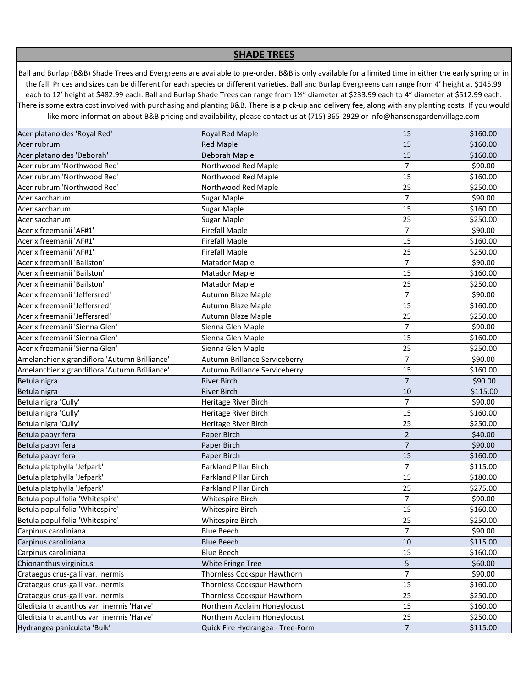## **SHADE TREES**

Ball and Burlap (B&B) Shade Trees and Evergreens are available to pre-order. B&B is only available for a limited time in either the early spring or in the fall. Prices and sizes can be different for each species or different varieties. Ball and Burlap Evergreens can range from 4' height at \$145.99 each to 12' height at \$482.99 each. Ball and Burlap Shade Trees can range from 1½" diameter at \$233.99 each to 4" diameter at \$512.99 each. There is some extra cost involved with purchasing and planting B&B. There is a pick-up and delivery fee, along with any planting costs. If you would like more information about B&B pricing and availability, please contact us at (715) 365-2929 or info@hansonsgardenvillage.com

| Acer platanoides 'Royal Red'                  | <b>Royal Red Maple</b>           | 15             | \$160.00 |
|-----------------------------------------------|----------------------------------|----------------|----------|
| Acer rubrum                                   | <b>Red Maple</b>                 | 15             | \$160.00 |
| Acer platanoides 'Deborah'                    | Deborah Maple                    | 15             | \$160.00 |
| Acer rubrum 'Northwood Red'                   | Northwood Red Maple              | $\overline{7}$ | \$90.00  |
| Acer rubrum 'Northwood Red'                   | Northwood Red Maple              | 15             | \$160.00 |
| Acer rubrum 'Northwood Red'                   | Northwood Red Maple              | 25             | \$250.00 |
| Acer saccharum                                | <b>Sugar Maple</b>               | 7              | \$90.00  |
| Acer saccharum                                | Sugar Maple                      | 15             | \$160.00 |
| Acer saccharum                                | Sugar Maple                      | 25             | \$250.00 |
| Acer x freemanii 'AF#1'                       | <b>Firefall Maple</b>            | 7              | \$90.00  |
| Acer x freemanii 'AF#1'                       | <b>Firefall Maple</b>            | 15             | \$160.00 |
| Acer x freemanii 'AF#1'                       | <b>Firefall Maple</b>            | 25             | \$250.00 |
| Acer x freemanii 'Bailston'                   | Matador Maple                    | $\overline{7}$ | \$90.00  |
| Acer x freemanii 'Bailston'                   | Matador Maple                    | 15             | \$160.00 |
| Acer x freemanii 'Bailston'                   | Matador Maple                    | 25             | \$250.00 |
| Acer x freemanii 'Jeffersred'                 | Autumn Blaze Maple               | $\overline{7}$ | \$90.00  |
| Acer x freemanii 'Jeffersred'                 | Autumn Blaze Maple               | 15             | \$160.00 |
| Acer x freemanii 'Jeffersred'                 | Autumn Blaze Maple               | 25             | \$250.00 |
| Acer x freemanii 'Sienna Glen'                | Sienna Glen Maple                | $\overline{7}$ | \$90.00  |
| Acer x freemanii 'Sienna Glen'                | Sienna Glen Maple                | 15             | \$160.00 |
| Acer x freemanii 'Sienna Glen'                | Sienna Glen Maple                | 25             | \$250.00 |
| Amelanchier x grandiflora 'Autumn Brilliance' | Autumn Brillance Serviceberry    | $\overline{7}$ | \$90.00  |
| Amelanchier x grandiflora 'Autumn Brilliance' | Autumn Brillance Serviceberry    | 15             | \$160.00 |
| Betula nigra                                  | <b>River Birch</b>               | $\overline{7}$ | \$90.00  |
| Betula nigra                                  | <b>River Birch</b>               | 10             | \$115.00 |
| Betula nigra 'Cully'                          | Heritage River Birch             | 7              | \$90.00  |
| Betula nigra 'Cully'                          | Heritage River Birch             | 15             | \$160.00 |
| Betula nigra 'Cully'                          | Heritage River Birch             | 25             | \$250.00 |
| Betula papyrifera                             | Paper Birch                      | $\overline{2}$ | \$40.00  |
| Betula papyrifera                             | Paper Birch                      | $\overline{7}$ | \$90.00  |
| Betula papyrifera                             | Paper Birch                      | 15             | \$160.00 |
| Betula platphylla 'Jefpark'                   | Parkland Pillar Birch            | 7              | \$115.00 |
| Betula platphylla 'Jefpark'                   | Parkland Pillar Birch            | 15             | \$180.00 |
| Betula platphylla 'Jefpark'                   | Parkland Pillar Birch            | 25             | \$275.00 |
| Betula populifolia 'Whitespire'               | Whitespire Birch                 | 7              | \$90.00  |
| Betula populifolia 'Whitespire'               | Whitespire Birch                 | 15             | \$160.00 |
| Betula populifolia 'Whitespire'               | <b>Whitespire Birch</b>          | 25             | \$250.00 |
| Carpinus caroliniana                          | <b>Blue Beech</b>                | $\overline{7}$ | \$90.00  |
| Carpinus caroliniana                          | <b>Blue Beech</b>                | 10             | \$115.00 |
| Carpinus caroliniana                          | <b>Blue Beech</b>                | 15             | \$160.00 |
| Chionanthus virginicus                        | <b>White Fringe Tree</b>         | 5              | \$60.00  |
| Crataegus crus-galli var. inermis             | Thornless Cockspur Hawthorn      | $\overline{7}$ | \$90.00  |
| Crataegus crus-galli var. inermis             | Thornless Cockspur Hawthorn      | 15             | \$160.00 |
| Crataegus crus-galli var. inermis             | Thornless Cockspur Hawthorn      | 25             | \$250.00 |
| Gleditsia triacanthos var. inermis 'Harve'    | Northern Acclaim Honeylocust     | 15             | \$160.00 |
| Gleditsia triacanthos var. inermis 'Harve'    | Northern Acclaim Honeylocust     | 25             | \$250.00 |
| Hydrangea paniculata 'Bulk'                   | Quick Fire Hydrangea - Tree-Form | $\overline{7}$ | \$115.00 |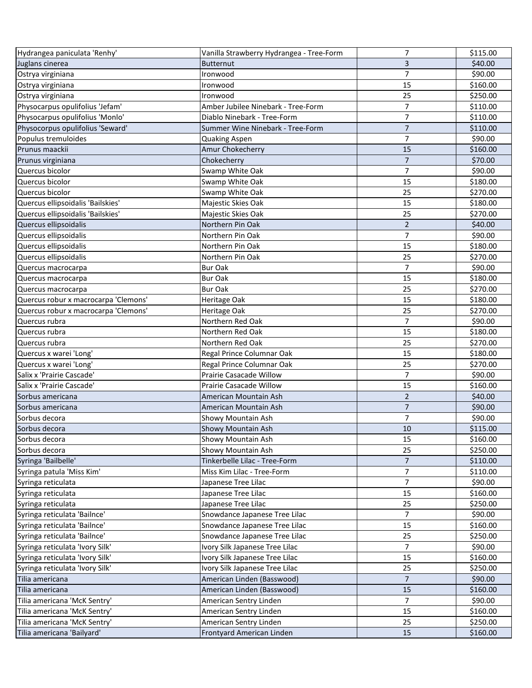| Hydrangea paniculata 'Renhy'         | Vanilla Strawberry Hydrangea - Tree-Form | 7              | \$115.00 |
|--------------------------------------|------------------------------------------|----------------|----------|
| Juglans cinerea                      | <b>Butternut</b>                         | 3              | \$40.00  |
| Ostrya virginiana                    | Ironwood                                 | 7              | \$90.00  |
| Ostrya virginiana                    | Ironwood                                 | 15             | \$160.00 |
| Ostrya virginiana                    | Ironwood                                 | 25             | \$250.00 |
| Physocarpus opulifolius 'Jefam'      | Amber Jubilee Ninebark - Tree-Form       | $\overline{7}$ | \$110.00 |
| Physocarpus opulifolius 'Monlo'      | Diablo Ninebark - Tree-Form              | 7              | \$110.00 |
| Physocorpus opulifolius 'Seward'     | Summer Wine Ninebark - Tree-Form         | $\overline{7}$ | \$110.00 |
| Populus tremuloides                  | Quaking Aspen                            | $\overline{7}$ | \$90.00  |
| Prunus maackii                       | Amur Chokecherry                         | 15             | \$160.00 |
| Prunus virginiana                    | Chokecherry                              | $\overline{7}$ | \$70.00  |
| Quercus bicolor                      | Swamp White Oak                          | 7              | \$90.00  |
| Quercus bicolor                      | Swamp White Oak                          | 15             | \$180.00 |
| Quercus bicolor                      | Swamp White Oak                          | 25             | \$270.00 |
| Quercus ellipsoidalis 'Bailskies'    | Majestic Skies Oak                       | 15             | \$180.00 |
| Quercus ellipsoidalis 'Bailskies'    | Majestic Skies Oak                       | 25             | \$270.00 |
| Quercus ellipsoidalis                | Northern Pin Oak                         | $\overline{2}$ | \$40.00  |
| Quercus ellipsoidalis                | Northern Pin Oak                         | $\overline{7}$ | \$90.00  |
| Quercus ellipsoidalis                | Northern Pin Oak                         | 15             | \$180.00 |
| Quercus ellipsoidalis                | Northern Pin Oak                         | 25             | \$270.00 |
| Quercus macrocarpa                   | <b>Bur Oak</b>                           | 7              | \$90.00  |
| Quercus macrocarpa                   | <b>Bur Oak</b>                           | 15             | \$180.00 |
| Quercus macrocarpa                   | <b>Bur Oak</b>                           | 25             | \$270.00 |
| Quercus robur x macrocarpa 'Clemons' | Heritage Oak                             | 15             | \$180.00 |
| Quercus robur x macrocarpa 'Clemons' | Heritage Oak                             | 25             | \$270.00 |
| Quercus rubra                        | Northern Red Oak                         | $\overline{7}$ | \$90.00  |
| Quercus rubra                        | Northern Red Oak                         | 15             | \$180.00 |
| Quercus rubra                        | Northern Red Oak                         | 25             | \$270.00 |
| Quercus x warei 'Long'               | Regal Prince Columnar Oak                | 15             | \$180.00 |
| Quercus x warei 'Long'               | Regal Prince Columnar Oak                | 25             | \$270.00 |
| Salix x 'Prairie Cascade'            | Prairie Casacade Willow                  | $\overline{7}$ | \$90.00  |
| Salix x 'Prairie Cascade'            | <b>Prairie Casacade Willow</b>           | 15             | \$160.00 |
| Sorbus americana                     | American Mountain Ash                    | $\overline{2}$ | \$40.00  |
| Sorbus americana                     | American Mountain Ash                    | $\overline{7}$ | \$90.00  |
| Sorbus decora                        | Showy Mountain Ash                       | $\overline{7}$ | \$90.00  |
| Sorbus decora                        | Showy Mountain Ash                       | 10             | \$115.00 |
| Sorbus decora                        | Showy Mountain Ash                       | 15             | \$160.00 |
| Sorbus decora                        | Showy Mountain Ash                       | 25             | \$250.00 |
| Syringa 'Bailbelle'                  | Tinkerbelle Lilac - Tree-Form            | $\overline{7}$ | \$110.00 |
| Syringa patula 'Miss Kim'            | Miss Kim Lilac - Tree-Form               | 7              | \$110.00 |
| Syringa reticulata                   | Japanese Tree Lilac                      | $\overline{7}$ | \$90.00  |
| Syringa reticulata                   | Japanese Tree Lilac                      | 15             | \$160.00 |
| Syringa reticulata                   | Japanese Tree Lilac                      | 25             | \$250.00 |
| Syringa reticulata 'Bailnce'         | Snowdance Japanese Tree Lilac            | $\overline{7}$ | \$90.00  |
| Syringa reticulata 'Bailnce'         | Snowdance Japanese Tree Lilac            | 15             | \$160.00 |
| Syringa reticulata 'Bailnce'         | Snowdance Japanese Tree Lilac            | 25             | \$250.00 |
| Syringa reticulata 'Ivory Silk'      | Ivory Silk Japanese Tree Lilac           | $\overline{7}$ | \$90.00  |
| Syringa reticulata 'Ivory Silk'      | Ivory Silk Japanese Tree Lilac           | 15             | \$160.00 |
| Syringa reticulata 'Ivory Silk'      | Ivory Silk Japanese Tree Lilac           | 25             | \$250.00 |
| Tilia americana                      | American Linden (Basswood)               | $\overline{7}$ | \$90.00  |
| Tilia americana                      | American Linden (Basswood)               | 15             | \$160.00 |
| Tilia americana 'McK Sentry'         | American Sentry Linden                   | $\overline{7}$ | \$90.00  |
| Tilia americana 'McK Sentry'         | American Sentry Linden                   | 15             | \$160.00 |
| Tilia americana 'McK Sentry'         | American Sentry Linden                   | 25             | \$250.00 |
| Tilia americana 'Bailyard'           | Frontyard American Linden                | 15             | \$160.00 |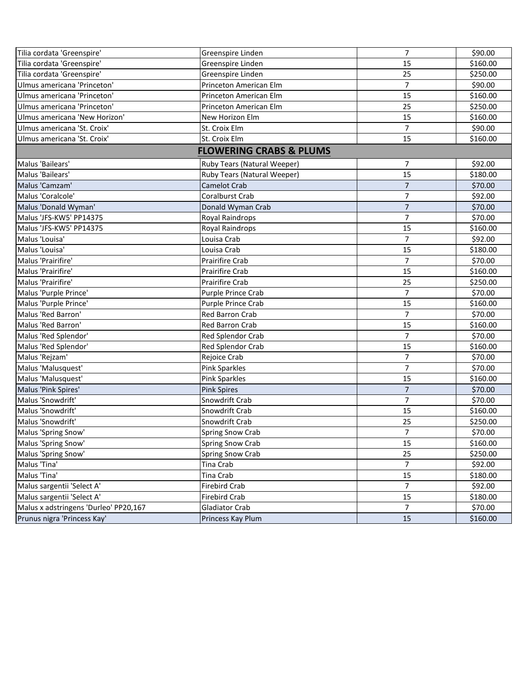| Tilia cordata 'Greenspire'            | Greenspire Linden                  | 7              | \$90.00  |
|---------------------------------------|------------------------------------|----------------|----------|
| Tilia cordata 'Greenspire'            | Greenspire Linden                  | 15             | \$160.00 |
| Tilia cordata 'Greenspire'            | Greenspire Linden                  | 25             | \$250.00 |
| Ulmus americana 'Princeton'           | Princeton American Elm             | $\overline{7}$ | \$90.00  |
| Ulmus americana 'Princeton'           | Princeton American Elm             | 15             | \$160.00 |
| Ulmus americana 'Princeton'           | Princeton American Elm             | 25             | \$250.00 |
| Ulmus americana 'New Horizon'         | New Horizon Elm                    | 15             | \$160.00 |
| Ulmus americana 'St. Croix'           | St. Croix Elm                      | $\overline{7}$ | \$90.00  |
| Ulmus americana 'St. Croix'           | St. Croix Elm                      | 15             | \$160.00 |
|                                       | <b>FLOWERING CRABS &amp; PLUMS</b> |                |          |
| Malus 'Bailears'                      | Ruby Tears (Natural Weeper)        | 7              | \$92.00  |
| Malus 'Bailears'                      | Ruby Tears (Natural Weeper)        | 15             | \$180.00 |
| Malus 'Camzam'                        | Camelot Crab                       | $\overline{7}$ | \$70.00  |
| Malus 'Coralcole'                     | <b>Coralburst Crab</b>             | 7              | \$92.00  |
| Malus 'Donald Wyman'                  | Donald Wyman Crab                  | $\overline{7}$ | \$70.00  |
| Malus 'JFS-KW5' PP14375               | Royal Raindrops                    | $\overline{7}$ | \$70.00  |
| Malus 'JFS-KW5' PP14375               | Royal Raindrops                    | 15             | \$160.00 |
| Malus 'Louisa'                        | Louisa Crab                        | $\overline{7}$ | \$92.00  |
| Malus 'Louisa'                        | Louisa Crab                        | 15             | \$180.00 |
| Malus 'Prairifire'                    | <b>Prairifire Crab</b>             | $\overline{7}$ | \$70.00  |
| Malus 'Prairifire'                    | Prairifire Crab                    | 15             | \$160.00 |
| Malus 'Prairifire'                    | Prairifire Crab                    | 25             | \$250.00 |
| Malus 'Purple Prince'                 | Purple Prince Crab                 | $\overline{7}$ | \$70.00  |
| Malus 'Purple Prince'                 | Purple Prince Crab                 | 15             | \$160.00 |
| Malus 'Red Barron'                    | <b>Red Barron Crab</b>             | 7              | \$70.00  |
| Malus 'Red Barron'                    | <b>Red Barron Crab</b>             | 15             | \$160.00 |
| Malus 'Red Splendor'                  | Red Splendor Crab                  | $\overline{7}$ | \$70.00  |
| Malus 'Red Splendor'                  | Red Splendor Crab                  | 15             | \$160.00 |
| Malus 'Rejzam'                        | Rejoice Crab                       | $\overline{7}$ | \$70.00  |
| Malus 'Malusquest'                    | <b>Pink Sparkles</b>               | $\overline{7}$ | \$70.00  |
| Malus 'Malusquest'                    | <b>Pink Sparkles</b>               | 15             | \$160.00 |
| Malus 'Pink Spires'                   | <b>Pink Spires</b>                 | $\overline{7}$ | \$70.00  |
| Malus 'Snowdrift'                     | Snowdrift Crab                     | $\overline{7}$ | \$70.00  |
| Malus 'Snowdrift'                     | Snowdrift Crab                     | 15             | \$160.00 |
| Malus 'Snowdrift'                     | Snowdrift Crab                     | 25             | \$250.00 |
| Malus 'Spring Snow'                   | <b>Spring Snow Crab</b>            | $\overline{7}$ | \$70.00  |
| Malus 'Spring Snow'                   | Spring Snow Crab                   | 15             | \$160.00 |
| Malus 'Spring Snow'                   | Spring Snow Crab                   | 25             | \$250.00 |
| Malus 'Tina'                          | Tina Crab                          | 7              | \$92.00  |
| Malus 'Tina'                          | Tina Crab                          | 15             | \$180.00 |
| Malus sargentii 'Select A'            | Firebird Crab                      | $\overline{7}$ | \$92.00  |
| Malus sargentii 'Select A'            | <b>Firebird Crab</b>               | 15             | \$180.00 |
| Malus x adstringens 'Durleo' PP20,167 | <b>Gladiator Crab</b>              | $\overline{7}$ | \$70.00  |
| Prunus nigra 'Princess Kay'           | Princess Kay Plum                  | 15             | \$160.00 |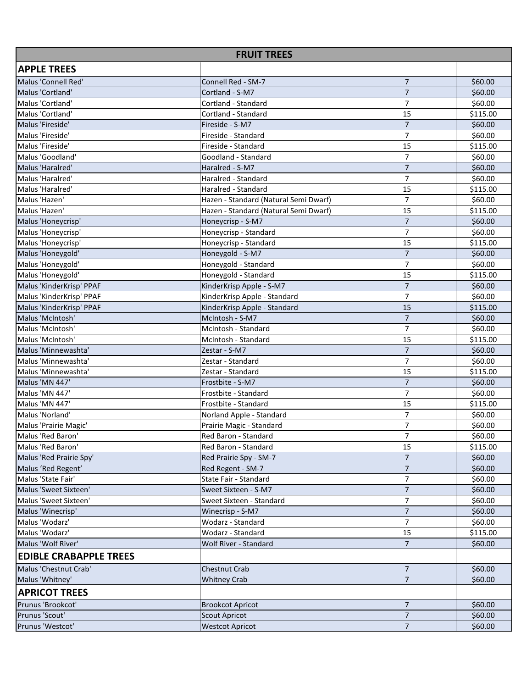| <b>FRUIT TREES</b>            |                                       |                |          |  |
|-------------------------------|---------------------------------------|----------------|----------|--|
| <b>APPLE TREES</b>            |                                       |                |          |  |
| Malus 'Connell Red'           | Connell Red - SM-7                    | $\overline{7}$ | \$60.00  |  |
| Malus 'Cortland'              | Cortland - S-M7                       | $\overline{7}$ | \$60.00  |  |
| Malus 'Cortland'              | Cortland - Standard                   | $\overline{7}$ | \$60.00  |  |
| Malus 'Cortland'              | Cortland - Standard                   | 15             | \$115.00 |  |
| Malus 'Fireside'              | Fireside - S-M7                       | $\overline{7}$ | \$60.00  |  |
| Malus 'Fireside'              | Fireside - Standard                   | $\overline{7}$ | \$60.00  |  |
| Malus 'Fireside'              | Fireside - Standard                   | 15             | \$115.00 |  |
| Malus 'Goodland'              | Goodland - Standard                   | $\overline{7}$ | \$60.00  |  |
| Malus 'Haralred'              | Haralred - S-M7                       | $\overline{7}$ | \$60.00  |  |
| Malus 'Haralred'              | Haralred - Standard                   | 7              | \$60.00  |  |
| Malus 'Haralred'              | Haralred - Standard                   | 15             | \$115.00 |  |
| Malus 'Hazen'                 | Hazen - Standard (Natural Semi Dwarf) | $\overline{7}$ | \$60.00  |  |
| Malus 'Hazen'                 | Hazen - Standard (Natural Semi Dwarf) | 15             | \$115.00 |  |
| Malus 'Honeycrisp'            | Honeycrisp - S-M7                     | $\overline{7}$ | \$60.00  |  |
| Malus 'Honeycrisp'            | Honeycrisp - Standard                 | 7              | \$60.00  |  |
| Malus 'Honeycrisp'            | Honeycrisp - Standard                 | 15             | \$115.00 |  |
| Malus 'Honeygold'             | Honeygold - S-M7                      | $\overline{7}$ | \$60.00  |  |
| Malus 'Honeygold'             | Honeygold - Standard                  | 7              | \$60.00  |  |
| Malus 'Honeygold'             | Honeygold - Standard                  | 15             | \$115.00 |  |
| Malus 'KinderKrisp' PPAF      | KinderKrisp Apple - S-M7              | 7              | \$60.00  |  |
| Malus 'KinderKrisp' PPAF      | KinderKrisp Apple - Standard          | $\overline{7}$ | \$60.00  |  |
| Malus 'KinderKrisp' PPAF      | KinderKrisp Apple - Standard          | 15             | \$115.00 |  |
| Malus 'McIntosh'              | McIntosh - S-M7                       | $\overline{7}$ | \$60.00  |  |
| Malus 'McIntosh'              | McIntosh - Standard                   | $\overline{7}$ | \$60.00  |  |
| Malus 'McIntosh'              | McIntosh - Standard                   | 15             | \$115.00 |  |
| Malus 'Minnewashta'           | Zestar - S-M7                         | $\overline{7}$ | \$60.00  |  |
| Malus 'Minnewashta'           | Zestar - Standard                     | $\overline{7}$ | \$60.00  |  |
| Malus 'Minnewashta'           | Zestar - Standard                     | 15             | \$115.00 |  |
| Malus 'MN 447'                | Frostbite - S-M7                      | $\overline{7}$ | \$60.00  |  |
| Malus 'MN 447'                | Frostbite - Standard                  | $\overline{7}$ | \$60.00  |  |
| Malus 'MN 447'                | Frostbite - Standard                  | 15             | \$115.00 |  |
| Malus 'Norland'               | Norland Apple - Standard              | 7              | \$60.00  |  |
| Malus 'Prairie Magic'         | Prairie Magic - Standard              | 7              | \$60.00  |  |
| Malus 'Red Baron'             | Red Baron - Standard                  | 7              | \$60.00  |  |
| Malus 'Red Baron'             | Red Baron - Standard                  | 15             | \$115.00 |  |
| Malus 'Red Prairie Spy'       | Red Prairie Spy - SM-7                | $\overline{7}$ | \$60.00  |  |
| Malus 'Red Regent'            | Red Regent - SM-7                     | 7              | \$60.00  |  |
| Malus 'State Fair'            | State Fair - Standard                 | 7              | \$60.00  |  |
| Malus 'Sweet Sixteen'         | Sweet Sixteen - S-M7                  | $\overline{7}$ | \$60.00  |  |
| Malus 'Sweet Sixteen'         | Sweet Sixteen - Standard              | 7              | \$60.00  |  |
| Malus 'Winecrisp'             | Winecrisp - S-M7                      | $\overline{7}$ | \$60.00  |  |
| Malus 'Wodarz'                | Wodarz - Standard                     | 7              | \$60.00  |  |
| Malus 'Wodarz'                | Wodarz - Standard                     | 15             | \$115.00 |  |
| Malus 'Wolf River'            | Wolf River - Standard                 | $\overline{7}$ | \$60.00  |  |
| <b>EDIBLE CRABAPPLE TREES</b> |                                       |                |          |  |
| Malus 'Chestnut Crab'         | Chestnut Crab                         | 7              | \$60.00  |  |
| Malus 'Whitney'               | <b>Whitney Crab</b>                   | $\overline{7}$ | \$60.00  |  |
| <b>APRICOT TREES</b>          |                                       |                |          |  |
| Prunus 'Brookcot'             | <b>Brookcot Apricot</b>               | $\overline{7}$ | \$60.00  |  |
| Prunus 'Scout'                | <b>Scout Apricot</b>                  | $\overline{7}$ | \$60.00  |  |
| Prunus 'Westcot'              | <b>Westcot Apricot</b>                | $\overline{7}$ | \$60.00  |  |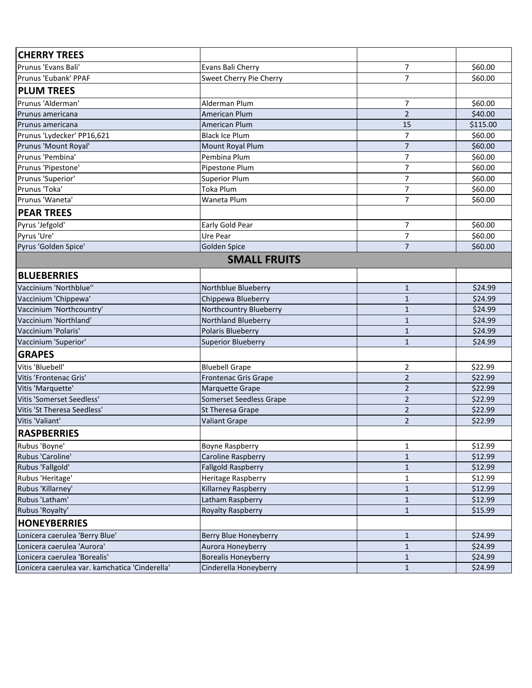| <b>CHERRY TREES</b>                            |                            |                |          |
|------------------------------------------------|----------------------------|----------------|----------|
| Prunus 'Evans Bali'                            | Evans Bali Cherry          | 7              | \$60.00  |
| Prunus 'Eubank' PPAF                           | Sweet Cherry Pie Cherry    | $\overline{7}$ | \$60.00  |
| <b>PLUM TREES</b>                              |                            |                |          |
| Prunus 'Alderman'                              | Alderman Plum              | 7              | \$60.00  |
| Prunus americana                               | <b>American Plum</b>       | $\overline{2}$ | \$40.00  |
| Prunus americana                               | American Plum              | 15             | \$115.00 |
| Prunus 'Lydecker' PP16,621                     | <b>Black Ice Plum</b>      | $\overline{7}$ | \$60.00  |
| Prunus 'Mount Royal'                           | Mount Royal Plum           | $\overline{7}$ | \$60.00  |
| Prunus 'Pembina'                               | Pembina Plum               | $\overline{7}$ | \$60.00  |
| Prunus 'Pipestone'                             | Pipestone Plum             | $\overline{7}$ | \$60.00  |
| Prunus 'Superior'                              | <b>Superior Plum</b>       | 7              | \$60.00  |
| Prunus 'Toka'                                  | <b>Toka Plum</b>           | 7              | \$60.00  |
| Prunus 'Waneta'                                | Waneta Plum                | $\overline{7}$ | \$60.00  |
| <b>PEAR TREES</b>                              |                            |                |          |
| Pyrus 'Jefgold'                                | Early Gold Pear            | 7              | \$60.00  |
| Pyrus 'Ure'                                    | Ure Pear                   | $\overline{7}$ | \$60.00  |
| Pyrus 'Golden Spice'                           | Golden Spice               | $\overline{7}$ | \$60.00  |
|                                                | <b>SMALL FRUITS</b>        |                |          |
| <b>BLUEBERRIES</b>                             |                            |                |          |
| Vaccinium 'Northblue"                          | Northblue Blueberry        | $\mathbf{1}$   | \$24.99  |
| Vaccinium 'Chippewa'                           | Chippewa Blueberry         | $\mathbf{1}$   | \$24.99  |
| Vaccinium 'Northcountry'                       | Northcountry Blueberry     | $\mathbf{1}$   | \$24.99  |
| Vaccinium 'Northland'                          | <b>Northland Blueberry</b> | $\mathbf{1}$   | \$24.99  |
| Vaccinium 'Polaris'                            | Polaris Blueberry          | $\mathbf{1}$   | \$24.99  |
| Vaccinium 'Superior'                           | <b>Superior Blueberry</b>  | $\mathbf{1}$   | \$24.99  |
| <b>GRAPES</b>                                  |                            |                |          |
| Vitis 'Bluebell'                               | <b>Bluebell Grape</b>      | 2              | \$22.99  |
| Vitis 'Frontenac Gris'                         | Frontenac Gris Grape       | $\overline{2}$ | \$22.99  |
| Vitis 'Marquette'                              | <b>Marquette Grape</b>     | $\overline{2}$ | \$22.99  |
| Vitis 'Somerset Seedless'                      | Somerset Seedless Grape    | $\overline{2}$ | \$22.99  |
| Vitis 'St Theresa Seedless'                    | St Theresa Grape           | $\overline{2}$ | \$22.99  |
| Vitis 'Valiant'                                | <b>Valiant Grape</b>       | 2              | \$22.99  |
| <b>RASPBERRIES</b>                             |                            |                |          |
| Rubus 'Boyne'                                  | <b>Boyne Raspberry</b>     | 1              | \$12.99  |
| Rubus 'Caroline'                               | Caroline Raspberry         | $\mathbf{1}$   | \$12.99  |
| Rubus 'Fallgold'                               | <b>Fallgold Raspberry</b>  | $\mathbf{1}$   | \$12.99  |
| Rubus 'Heritage'                               | Heritage Raspberry         | 1              | \$12.99  |
| Rubus 'Killarney'                              | Killarney Raspberry        | $\mathbf{1}$   | \$12.99  |
| Rubus 'Latham'                                 | Latham Raspberry           | $\mathbf{1}$   | \$12.99  |
| Rubus 'Royalty'                                | <b>Royalty Raspberry</b>   | $\mathbf{1}$   | \$15.99  |
| <b>HONEYBERRIES</b>                            |                            |                |          |
| Lonicera caerulea 'Berry Blue'                 | Berry Blue Honeyberry      | $\mathbf{1}$   | \$24.99  |
| Lonicera caerulea 'Aurora'                     | Aurora Honeyberry          | $\mathbf{1}$   | \$24.99  |
| Lonicera caerulea 'Borealis'                   | <b>Borealis Honeyberry</b> | $\mathbf{1}$   | \$24.99  |
| Lonicera caerulea var. kamchatica 'Cinderella' | Cinderella Honeyberry      | $\mathbf{1}$   | \$24.99  |